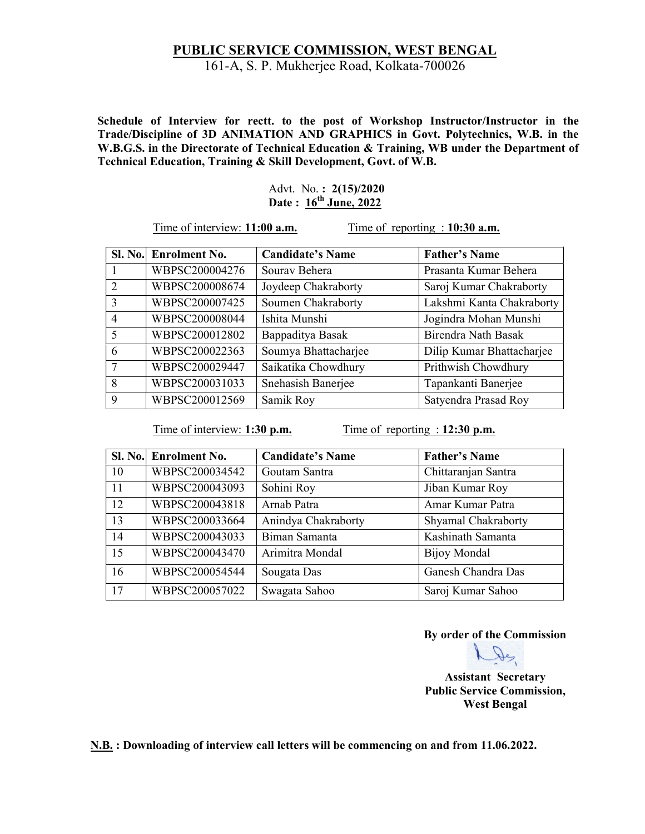## PUBLIC SERVICE COMMISSION, WEST BENGAL 161-A, S. P. Mukherjee Road, Kolkata-700026

Schedule of Interview for rectt. to the post of Workshop Instructor/Instructor in the Trade/Discipline of 3D ANIMATION AND GRAPHICS in Govt. Polytechnics, W.B. in the W.B.G.S. in the Directorate of Technical Education & Training, WB under the Department of Technical Education, Training & Skill Development, Govt. of W.B.

> Advt. No. : 2(15)/2020 Date:  $16^{th}$  June, 2022

Time of interview: 11:00 **a.m.** Time of reporting : 10:30 **a.m.** 

|                          | Sl. No. Enrolment No. | <b>Candidate's Name</b> | <b>Father's Name</b>      |
|--------------------------|-----------------------|-------------------------|---------------------------|
|                          | WBPSC200004276        | Sourav Behera           | Prasanta Kumar Behera     |
| $\mathcal{D}$            | WBPSC200008674        | Joydeep Chakraborty     | Saroj Kumar Chakraborty   |
| $\mathcal{R}$            | WBPSC200007425        | Soumen Chakraborty      | Lakshmi Kanta Chakraborty |
| $\overline{4}$           | WBPSC200008044        | Ishita Munshi           | Jogindra Mohan Munshi     |
| $\overline{\mathcal{L}}$ | WBPSC200012802        | Bappaditya Basak        | Birendra Nath Basak       |
| 6                        | WBPSC200022363        | Soumya Bhattacharjee    | Dilip Kumar Bhattacharjee |
| 7                        | WBPSC200029447        | Saikatika Chowdhury     | Prithwish Chowdhury       |
| 8                        | WBPSC200031033        | Snehasish Banerjee      | Tapankanti Banerjee       |
| 9                        | WBPSC200012569        | Samik Roy               | Satyendra Prasad Roy      |

Time of interview: 1:30 p.m. Time of reporting : 12:30 p.m.

|    | Sl. No. Enrolment No. | <b>Candidate's Name</b> | <b>Father's Name</b> |
|----|-----------------------|-------------------------|----------------------|
| 10 | WBPSC200034542        | Goutam Santra           | Chittaranjan Santra  |
| 11 | WBPSC200043093        | Sohini Roy              | Jiban Kumar Roy      |
| 12 | WBPSC200043818        | Arnab Patra             | Amar Kumar Patra     |
| 13 | WBPSC200033664        | Anindya Chakraborty     | Shyamal Chakraborty  |
| 14 | WBPSC200043033        | Biman Samanta           | Kashinath Samanta    |
| 15 | WBPSC200043470        | Arimitra Mondal         | Bijoy Mondal         |
| 16 | WBPSC200054544        | Sougata Das             | Ganesh Chandra Das   |
| 17 | WBPSC200057022        | Swagata Sahoo           | Saroj Kumar Sahoo    |

By order of the Commission

De

Assistant Secretary Public Service Commission, West Bengal

N.B. : Downloading of interview call letters will be commencing on and from 11.06.2022.